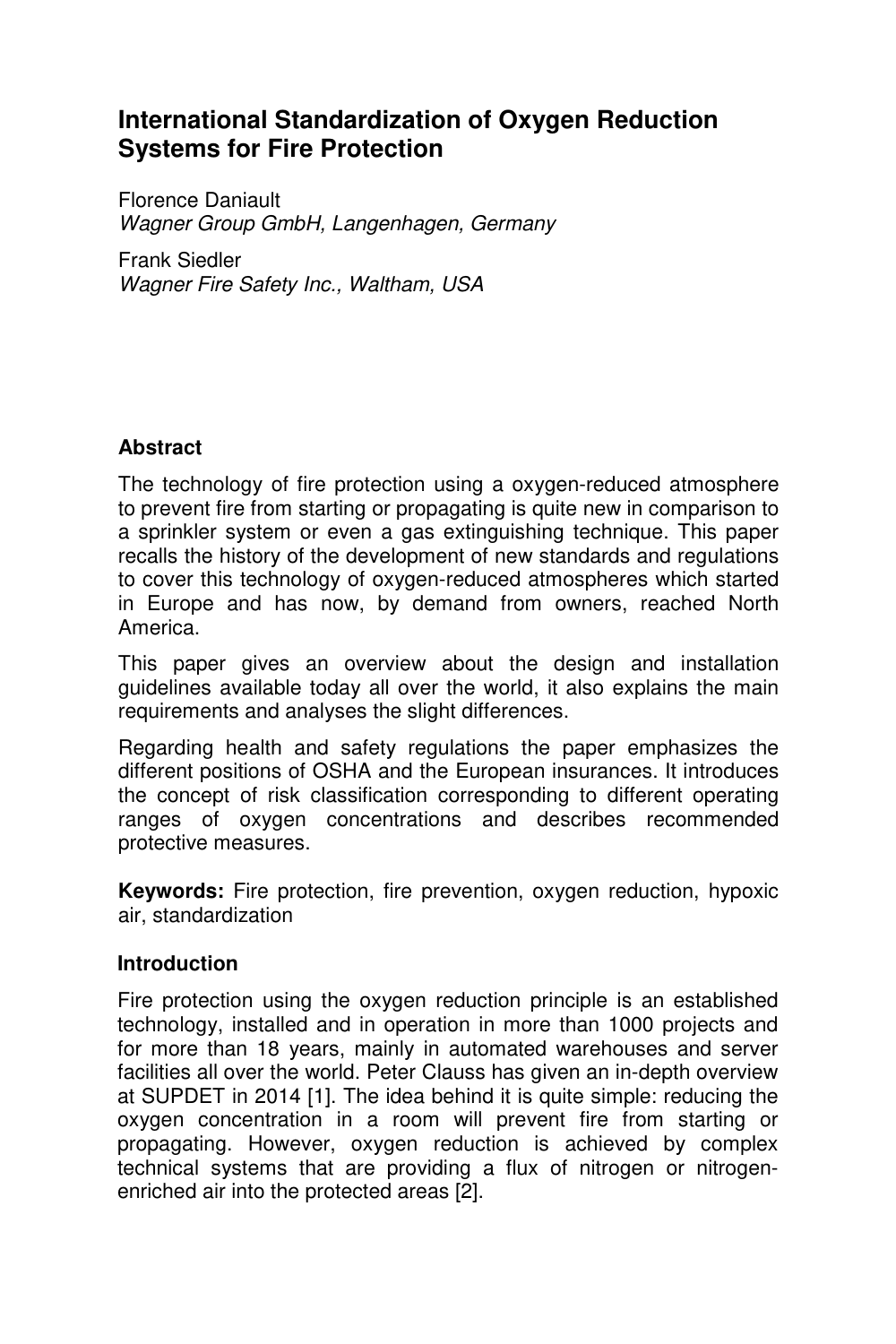# **International Standardization of Oxygen Reduction Systems for Fire Protection**

Florence Daniault *Wagner Group GmbH, Langenhagen, Germany* 

Frank Siedler *Wagner Fire Safety Inc., Waltham, USA*

## **Abstract**

The technology of fire protection using a oxygen-reduced atmosphere to prevent fire from starting or propagating is quite new in comparison to a sprinkler system or even a gas extinguishing technique. This paper recalls the history of the development of new standards and regulations to cover this technology of oxygen-reduced atmospheres which started in Europe and has now, by demand from owners, reached North America.

This paper gives an overview about the design and installation guidelines available today all over the world, it also explains the main requirements and analyses the slight differences.

Regarding health and safety regulations the paper emphasizes the different positions of OSHA and the European insurances. It introduces the concept of risk classification corresponding to different operating ranges of oxygen concentrations and describes recommended protective measures.

**Keywords:** Fire protection, fire prevention, oxygen reduction, hypoxic air, standardization

#### **Introduction**

Fire protection using the oxygen reduction principle is an established technology, installed and in operation in more than 1000 projects and for more than 18 years, mainly in automated warehouses and server facilities all over the world. Peter Clauss has given an in-depth overview at SUPDET in 2014 [1]. The idea behind it is quite simple: reducing the oxygen concentration in a room will prevent fire from starting or propagating. However, oxygen reduction is achieved by complex technical systems that are providing a flux of nitrogen or nitrogenenriched air into the protected areas [2].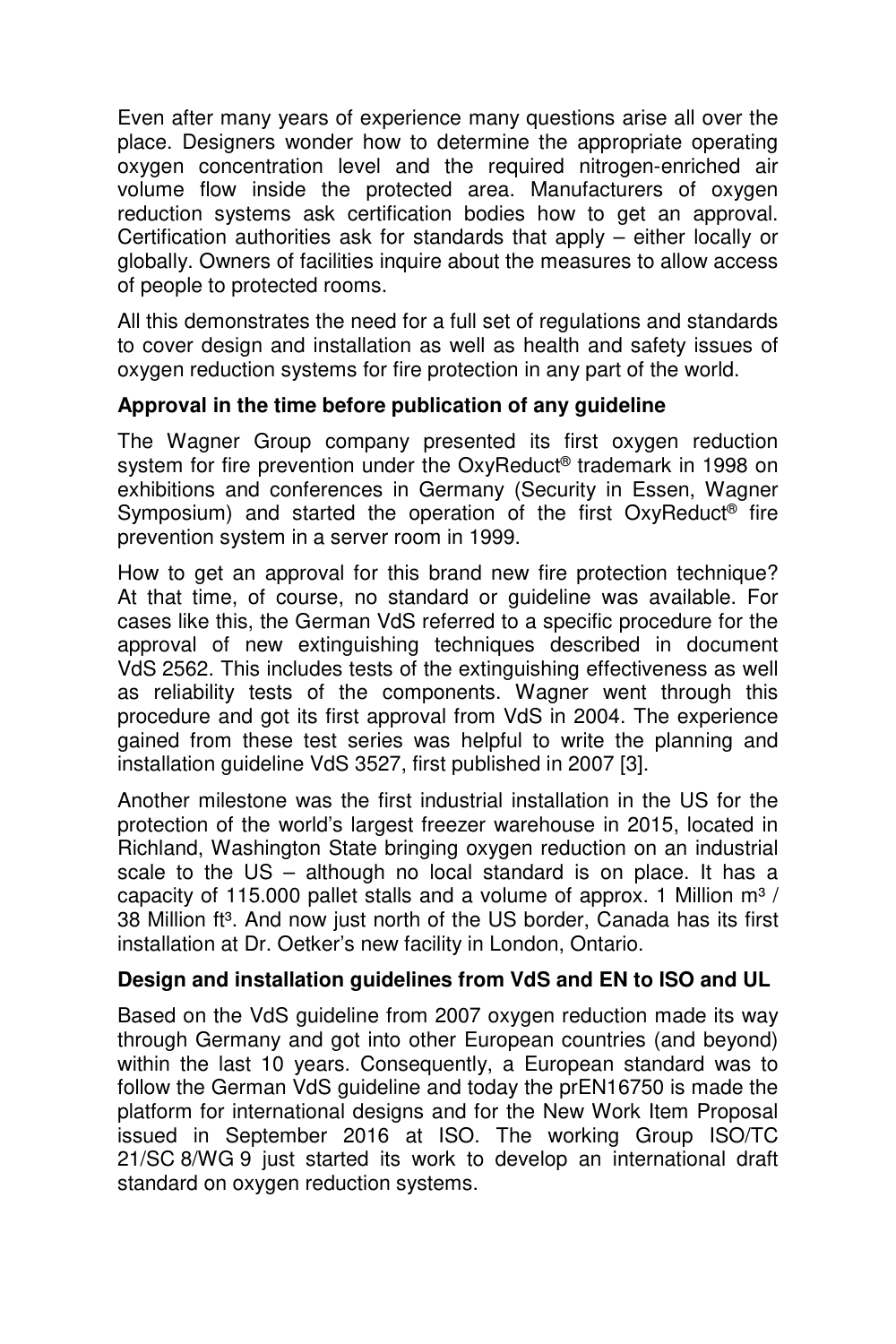Even after many years of experience many questions arise all over the place. Designers wonder how to determine the appropriate operating oxygen concentration level and the required nitrogen-enriched air volume flow inside the protected area. Manufacturers of oxygen reduction systems ask certification bodies how to get an approval. Certification authorities ask for standards that apply – either locally or globally. Owners of facilities inquire about the measures to allow access of people to protected rooms.

All this demonstrates the need for a full set of regulations and standards to cover design and installation as well as health and safety issues of oxygen reduction systems for fire protection in any part of the world.

## **Approval in the time before publication of any guideline**

The Wagner Group company presented its first oxygen reduction system for fire prevention under the OxyReduct<sup>®</sup> trademark in 1998 on exhibitions and conferences in Germany (Security in Essen, Wagner Symposium) and started the operation of the first OxyReduct<sup>®</sup> fire prevention system in a server room in 1999.

How to get an approval for this brand new fire protection technique? At that time, of course, no standard or guideline was available. For cases like this, the German VdS referred to a specific procedure for the approval of new extinguishing techniques described in document VdS 2562. This includes tests of the extinguishing effectiveness as well as reliability tests of the components. Wagner went through this procedure and got its first approval from VdS in 2004. The experience gained from these test series was helpful to write the planning and installation guideline VdS 3527, first published in 2007 [3].

Another milestone was the first industrial installation in the US for the protection of the world's largest freezer warehouse in 2015, located in Richland, Washington State bringing oxygen reduction on an industrial scale to the US – although no local standard is on place. It has a capacity of 115.000 pallet stalls and a volume of approx. 1 Million  $m^3$  / 38 Million ft<sup>3</sup>. And now just north of the US border, Canada has its first installation at Dr. Oetker's new facility in London, Ontario.

#### **Design and installation guidelines from VdS and EN to ISO and UL**

Based on the VdS guideline from 2007 oxygen reduction made its way through Germany and got into other European countries (and beyond) within the last 10 years. Consequently, a European standard was to follow the German VdS guideline and today the prEN16750 is made the platform for international designs and for the New Work Item Proposal issued in September 2016 at ISO. The working Group ISO/TC 21/SC 8/WG 9 just started its work to develop an international draft standard on oxygen reduction systems.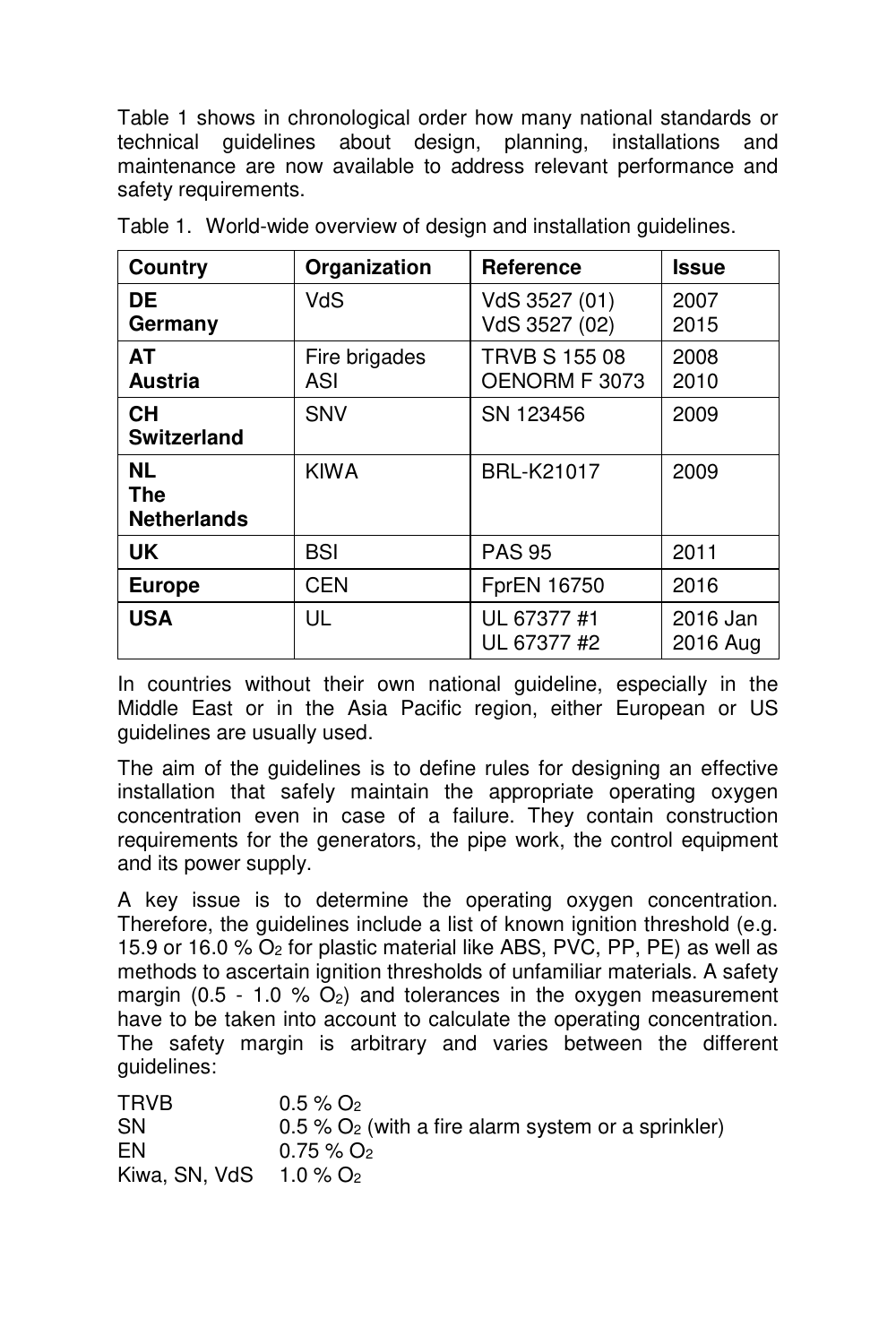Table 1 shows in chronological order how many national standards or technical guidelines about design, planning, installations and maintenance are now available to address relevant performance and safety requirements.

| Country                                       | Organization         | <b>Reference</b>                      | <b>Issue</b>         |
|-----------------------------------------------|----------------------|---------------------------------------|----------------------|
| DE.<br>Germany                                | VdS                  | VdS 3527 (01)<br>VdS 3527 (02)        | 2007<br>2015         |
| AT<br><b>Austria</b>                          | Fire brigades<br>ASI | <b>TRVB S 155 08</b><br>OENORM F 3073 | 2008<br>2010         |
| <b>CH</b><br><b>Switzerland</b>               | SNV                  | SN 123456                             | 2009                 |
| <b>NL</b><br><b>The</b><br><b>Netherlands</b> | <b>KIWA</b>          | BRL-K21017                            | 2009                 |
| <b>UK</b>                                     | <b>BSI</b>           | <b>PAS 95</b>                         | 2011                 |
| <b>Europe</b>                                 | <b>CEN</b>           | FprEN 16750                           | 2016                 |
| <b>USA</b>                                    | UL                   | UL 67377 #1<br>UL 67377 #2            | 2016 Jan<br>2016 Aug |

Table 1. World-wide overview of design and installation guidelines.

In countries without their own national guideline, especially in the Middle East or in the Asia Pacific region, either European or US guidelines are usually used.

The aim of the guidelines is to define rules for designing an effective installation that safely maintain the appropriate operating oxygen concentration even in case of a failure. They contain construction requirements for the generators, the pipe work, the control equipment and its power supply.

A key issue is to determine the operating oxygen concentration. Therefore, the guidelines include a list of known ignition threshold (e.g. 15.9 or 16.0 % O2 for plastic material like ABS, PVC, PP, PE) as well as methods to ascertain ignition thresholds of unfamiliar materials. A safety margin (0.5 - 1.0  $%$  O<sub>2</sub>) and tolerances in the oxygen measurement have to be taken into account to calculate the operating concentration. The safety margin is arbitrary and varies between the different guidelines:

| TRVB                                 | $0.5\%$ O <sub>2</sub>                                           |
|--------------------------------------|------------------------------------------------------------------|
| SΝ                                   | $0.5\%$ O <sub>2</sub> (with a fire alarm system or a sprinkler) |
| EN                                   | $0.75\%$ O <sub>2</sub>                                          |
| Kiwa, SN, VdS $1.0\%$ O <sub>2</sub> |                                                                  |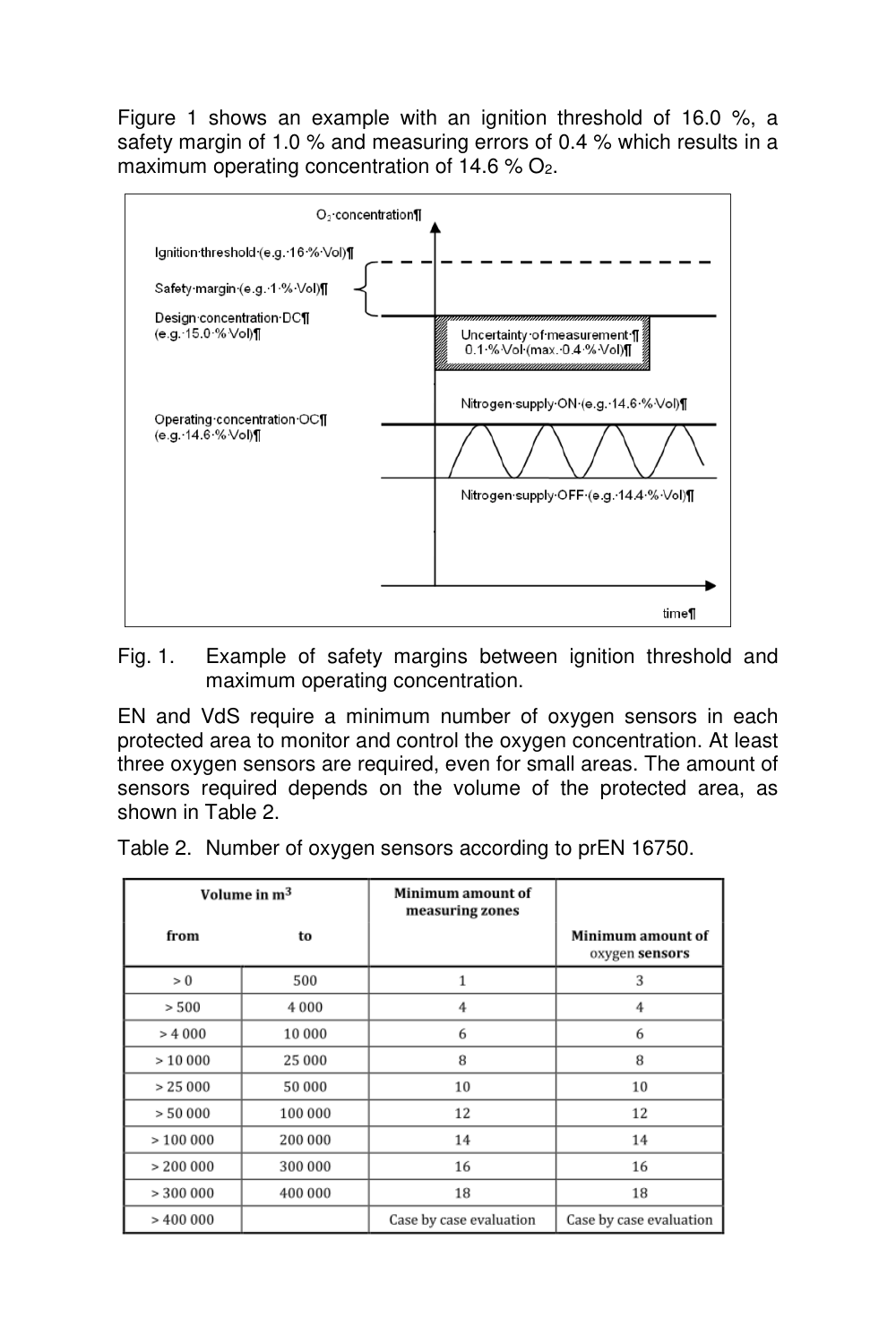Figure 1 shows an example with an ignition threshold of 16.0 %, a safety margin of 1.0 % and measuring errors of 0.4 % which results in a maximum operating concentration of 14.6 % O<sub>2</sub>.



Fig. 1. Example of safety margins between ignition threshold and maximum operating concentration.

EN and VdS require a minimum number of oxygen sensors in each protected area to monitor and control the oxygen concentration. At least three oxygen sensors are required, even for small areas. The amount of sensors required depends on the volume of the protected area, as shown in Table 2.

Table 2. Number of oxygen sensors according to prEN 16750.

| Volume in m <sup>3</sup> |         | Minimum amount of<br>measuring zones |                                     |
|--------------------------|---------|--------------------------------------|-------------------------------------|
| from                     | to      |                                      | Minimum amount of<br>oxygen sensors |
| > 0                      | 500     | 1                                    | 3                                   |
| > 500                    | 4 0 0 0 | 4                                    | 4                                   |
| > 4000                   | 10 000  | 6                                    | 6                                   |
| >10000                   | 25 000  | 8                                    | 8                                   |
| > 25000                  | 50 000  | 10                                   | 10                                  |
| > 50000                  | 100 000 | 12                                   | 12                                  |
| >100000                  | 200 000 | 14                                   | 14                                  |
| > 200000                 | 300 000 | 16                                   | 16                                  |
| > 300000                 | 400 000 | 18                                   | 18                                  |
| >400000                  |         | Case by case evaluation              | Case by case evaluation             |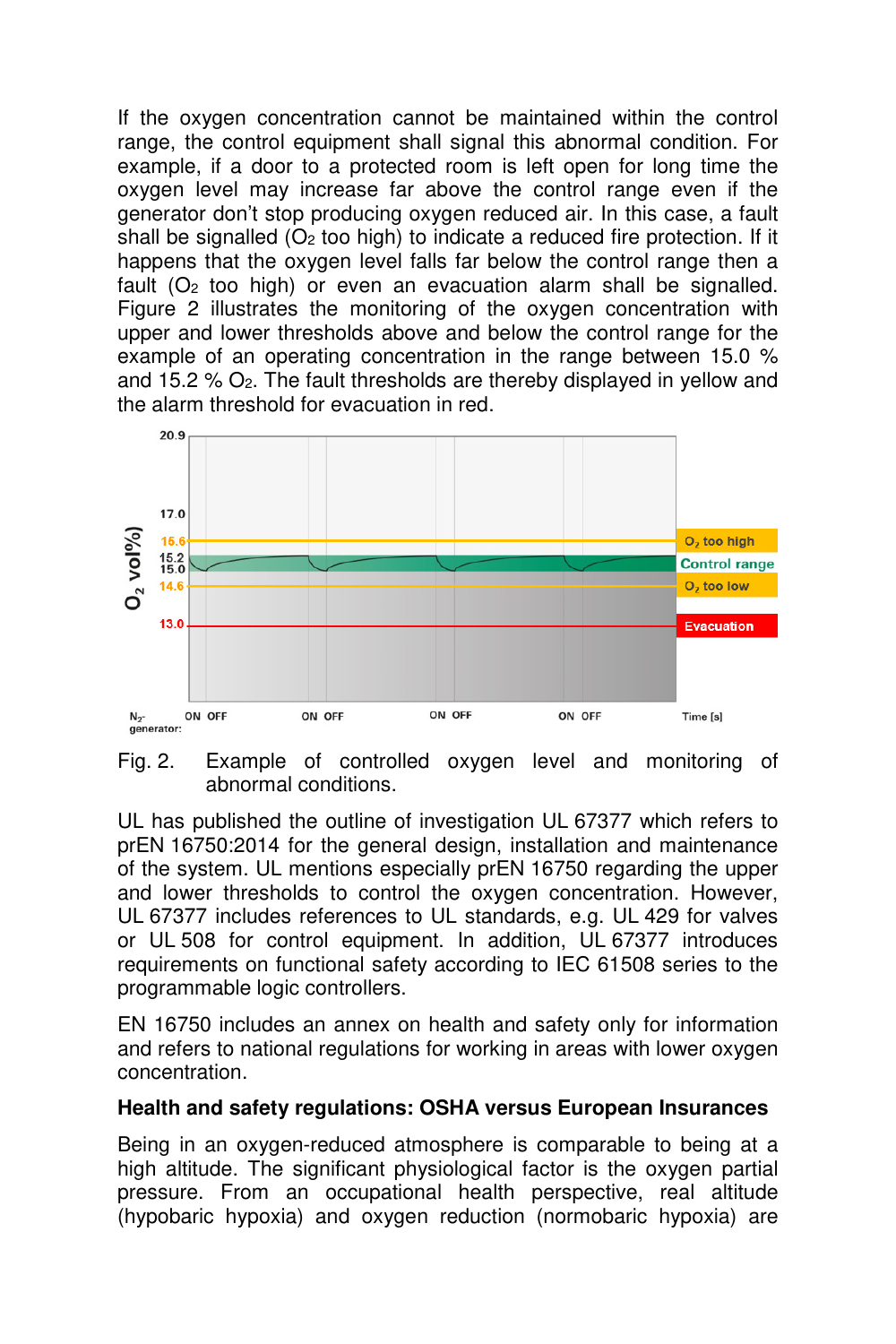If the oxygen concentration cannot be maintained within the control range, the control equipment shall signal this abnormal condition. For example, if a door to a protected room is left open for long time the oxygen level may increase far above the control range even if the generator don't stop producing oxygen reduced air. In this case, a fault shall be signalled  $(O<sub>2</sub>$  too high) to indicate a reduced fire protection. If it happens that the oxygen level falls far below the control range then a fault  $(O<sub>2</sub>$  too high) or even an evacuation alarm shall be signalled. Figure 2 illustrates the monitoring of the oxygen concentration with upper and lower thresholds above and below the control range for the example of an operating concentration in the range between 15.0 % and 15.2  $%$   $O<sub>2</sub>$ . The fault thresholds are thereby displayed in yellow and the alarm threshold for evacuation in red.



Fig. 2. Example of controlled oxygen level and monitoring of abnormal conditions.

UL has published the outline of investigation UL 67377 which refers to prEN 16750:2014 for the general design, installation and maintenance of the system. UL mentions especially prEN 16750 regarding the upper and lower thresholds to control the oxygen concentration. However, UL 67377 includes references to UL standards, e.g. UL 429 for valves or UL 508 for control equipment. In addition, UL 67377 introduces requirements on functional safety according to IEC 61508 series to the programmable logic controllers.

EN 16750 includes an annex on health and safety only for information and refers to national regulations for working in areas with lower oxygen concentration.

#### **Health and safety regulations: OSHA versus European Insurances**

Being in an oxygen-reduced atmosphere is comparable to being at a high altitude. The significant physiological factor is the oxygen partial pressure. From an occupational health perspective, real altitude (hypobaric hypoxia) and oxygen reduction (normobaric hypoxia) are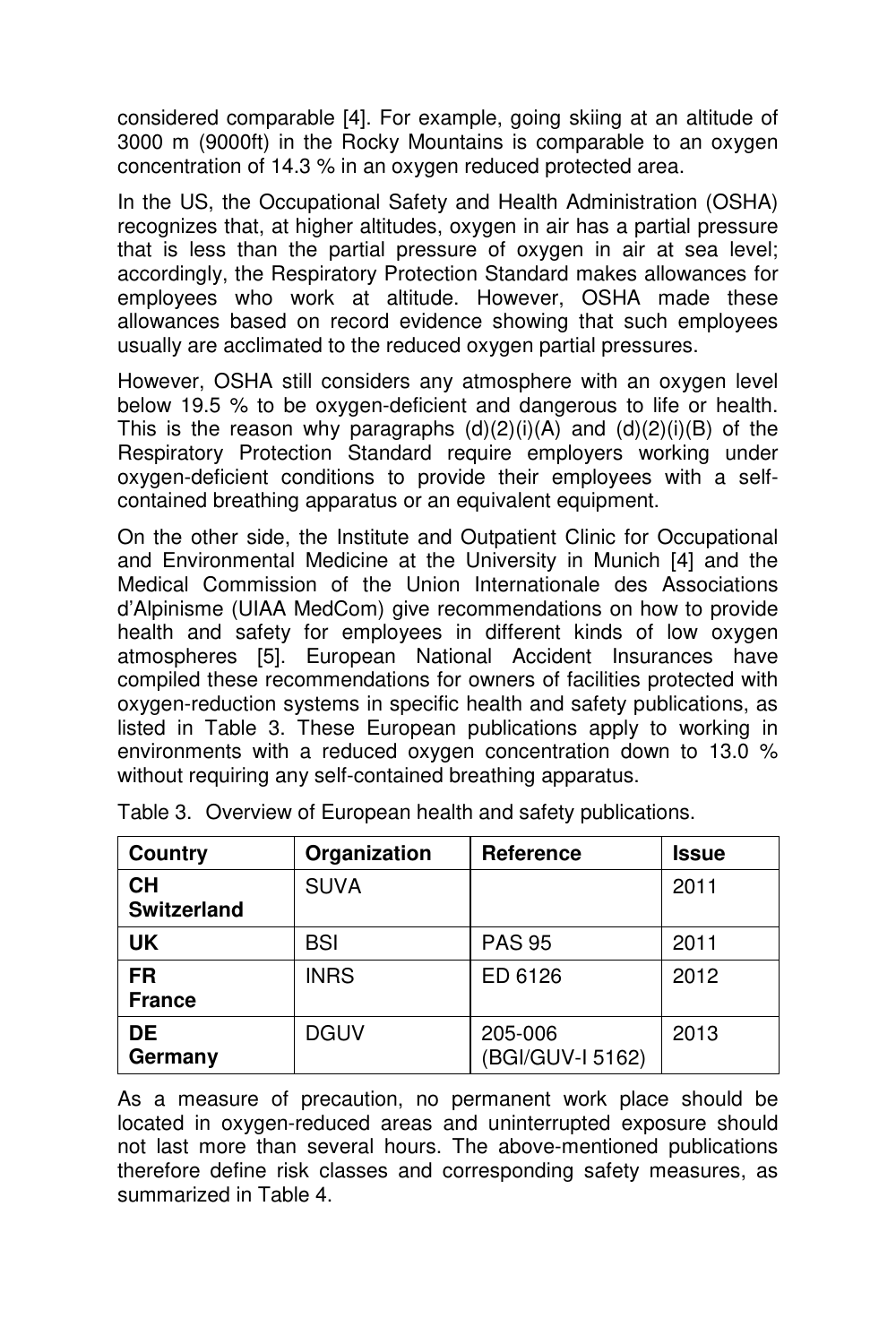considered comparable [4]. For example, going skiing at an altitude of 3000 m (9000ft) in the Rocky Mountains is comparable to an oxygen concentration of 14.3 % in an oxygen reduced protected area.

In the US, the Occupational Safety and Health Administration (OSHA) recognizes that, at higher altitudes, oxygen in air has a partial pressure that is less than the partial pressure of oxygen in air at sea level; accordingly, the Respiratory Protection Standard makes allowances for employees who work at altitude. However, OSHA made these allowances based on record evidence showing that such employees usually are acclimated to the reduced oxygen partial pressures.

However, OSHA still considers any atmosphere with an oxygen level below 19.5 % to be oxygen-deficient and dangerous to life or health. This is the reason why paragraphs  $(d)(2)(i)(A)$  and  $(d)(2)(i)(B)$  of the Respiratory Protection Standard require employers working under oxygen-deficient conditions to provide their employees with a selfcontained breathing apparatus or an equivalent equipment.

On the other side, the Institute and Outpatient Clinic for Occupational and Environmental Medicine at the University in Munich [4] and the Medical Commission of the Union Internationale des Associations d'Alpinisme (UIAA MedCom) give recommendations on how to provide health and safety for employees in different kinds of low oxygen atmospheres [5]. European National Accident Insurances have compiled these recommendations for owners of facilities protected with oxygen-reduction systems in specific health and safety publications, as listed in Table 3. These European publications apply to working in environments with a reduced oxygen concentration down to 13.0 % without requiring any self-contained breathing apparatus.

| Country                         | Organization | Reference                   | <b>Issue</b> |
|---------------------------------|--------------|-----------------------------|--------------|
| <b>CH</b><br><b>Switzerland</b> | <b>SUVA</b>  |                             | 2011         |
| <b>UK</b>                       | <b>BSI</b>   | <b>PAS 95</b>               | 2011         |
| <b>FR</b><br><b>France</b>      | <b>INRS</b>  | ED 6126                     | 2012         |
| <b>DE</b><br>Germany            | <b>DGUV</b>  | 205-006<br>(BGI/GUV-I 5162) | 2013         |

Table 3. Overview of European health and safety publications.

As a measure of precaution, no permanent work place should be located in oxygen-reduced areas and uninterrupted exposure should not last more than several hours. The above-mentioned publications therefore define risk classes and corresponding safety measures, as summarized in Table 4.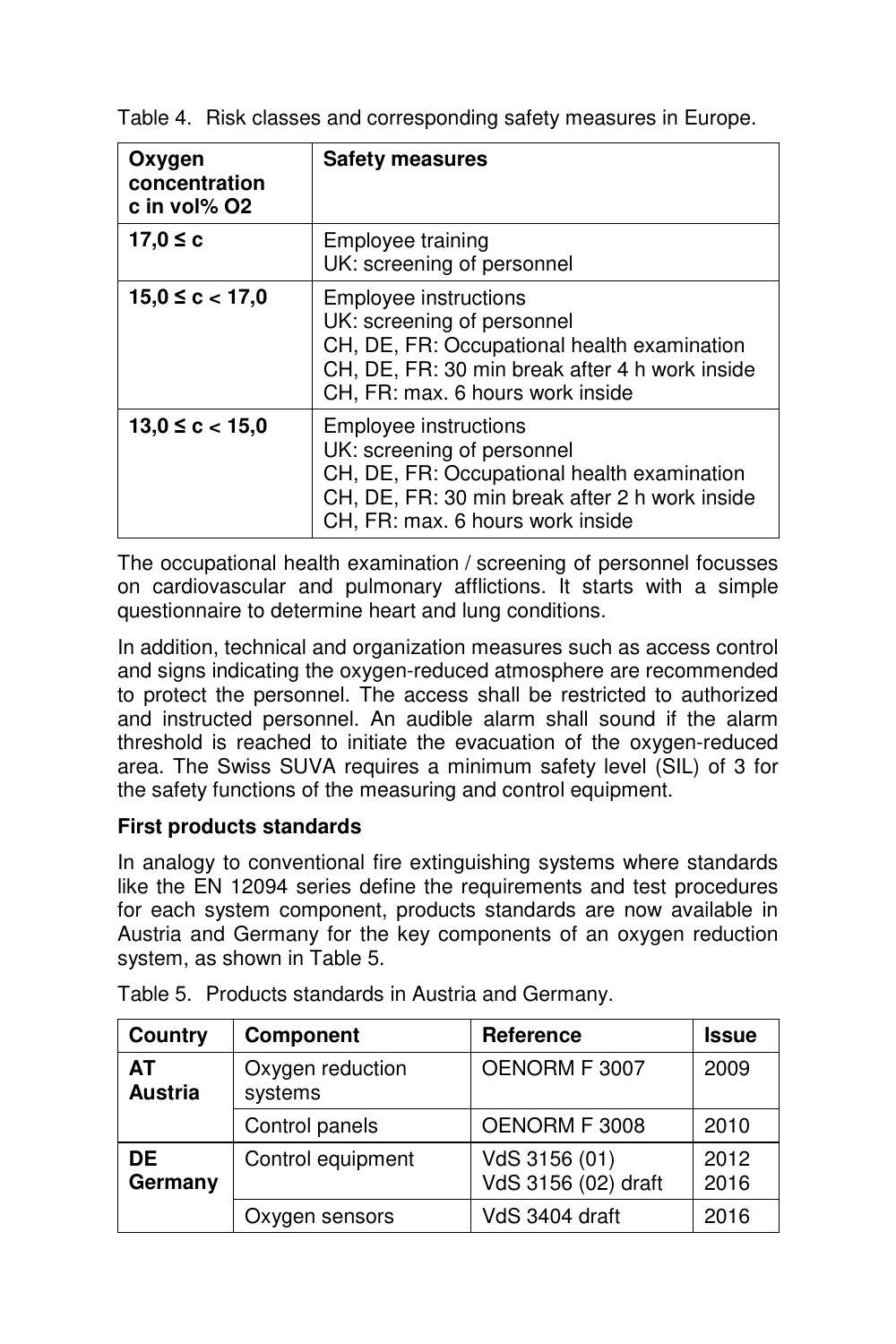| Oxygen<br>concentration<br>c in vol% O2 | <b>Safety measures</b>                                                                                                                                                                          |
|-----------------------------------------|-------------------------------------------------------------------------------------------------------------------------------------------------------------------------------------------------|
| 17,0 ≤ c                                | Employee training<br>UK: screening of personnel                                                                                                                                                 |
| $15,0 \leq c < 17,0$                    | <b>Employee instructions</b><br>UK: screening of personnel<br>CH, DE, FR: Occupational health examination<br>CH, DE, FR: 30 min break after 4 h work inside<br>CH, FR: max. 6 hours work inside |
| $13,0 \leq c < 15,0$                    | <b>Employee instructions</b><br>UK: screening of personnel<br>CH, DE, FR: Occupational health examination<br>CH, DE, FR: 30 min break after 2 h work inside<br>CH, FR: max. 6 hours work inside |

Table 4. Risk classes and corresponding safety measures in Europe.

The occupational health examination / screening of personnel focusses on cardiovascular and pulmonary afflictions. It starts with a simple questionnaire to determine heart and lung conditions.

In addition, technical and organization measures such as access control and signs indicating the oxygen-reduced atmosphere are recommended to protect the personnel. The access shall be restricted to authorized and instructed personnel. An audible alarm shall sound if the alarm threshold is reached to initiate the evacuation of the oxygen-reduced area. The Swiss SUVA requires a minimum safety level (SIL) of 3 for the safety functions of the measuring and control equipment.

# **First products standards**

In analogy to conventional fire extinguishing systems where standards like the EN 12094 series define the requirements and test procedures for each system component, products standards are now available in Austria and Germany for the key components of an oxygen reduction system, as shown in Table 5.

| Country              | Component                   | Reference                            | <b>Issue</b> |
|----------------------|-----------------------------|--------------------------------------|--------------|
| ΑТ<br><b>Austria</b> | Oxygen reduction<br>systems | OENORM F 3007                        | 2009         |
|                      | Control panels              | OENORM F 3008                        | 2010         |
| DE<br>Germany        | Control equipment           | VdS 3156 (01)<br>VdS 3156 (02) draft | 2012<br>2016 |
|                      | Oxygen sensors              | VdS 3404 draft                       | 2016         |

Table 5. Products standards in Austria and Germany.